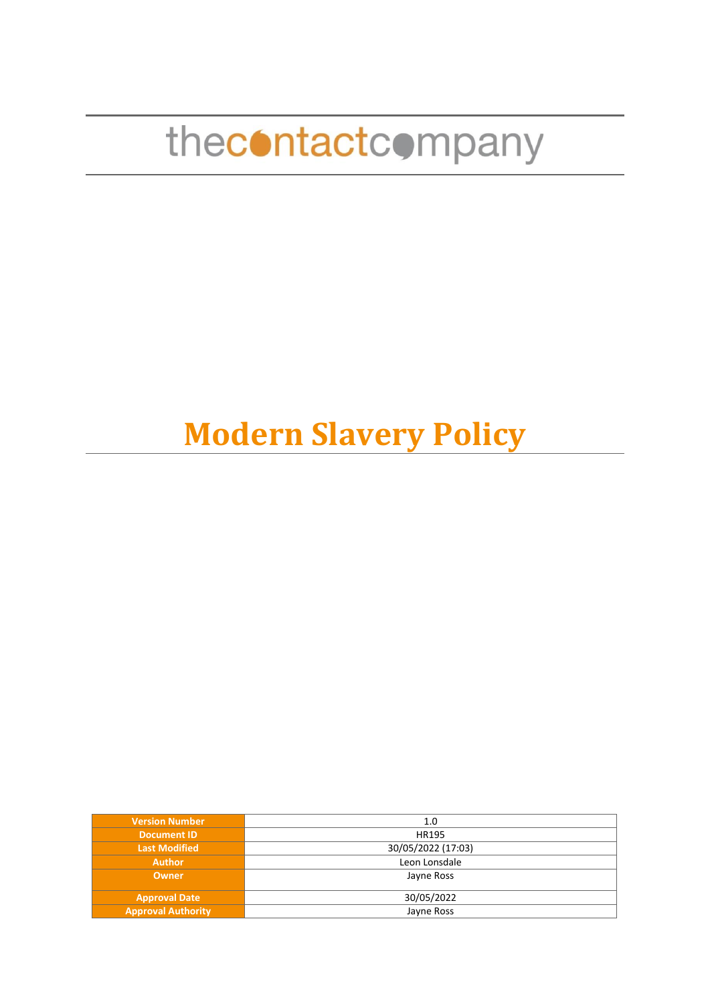## **Modern Slavery Policy**

| <b>Version Number</b>     | 1.0                |
|---------------------------|--------------------|
| <b>Document ID</b>        | HR195              |
| <b>Last Modified</b>      | 30/05/2022 (17:03) |
| <b>Author</b>             | Leon Lonsdale      |
| <b>Owner</b>              | Jayne Ross         |
|                           |                    |
| <b>Approval Date</b>      | 30/05/2022         |
| <b>Approval Authority</b> | Jayne Ross         |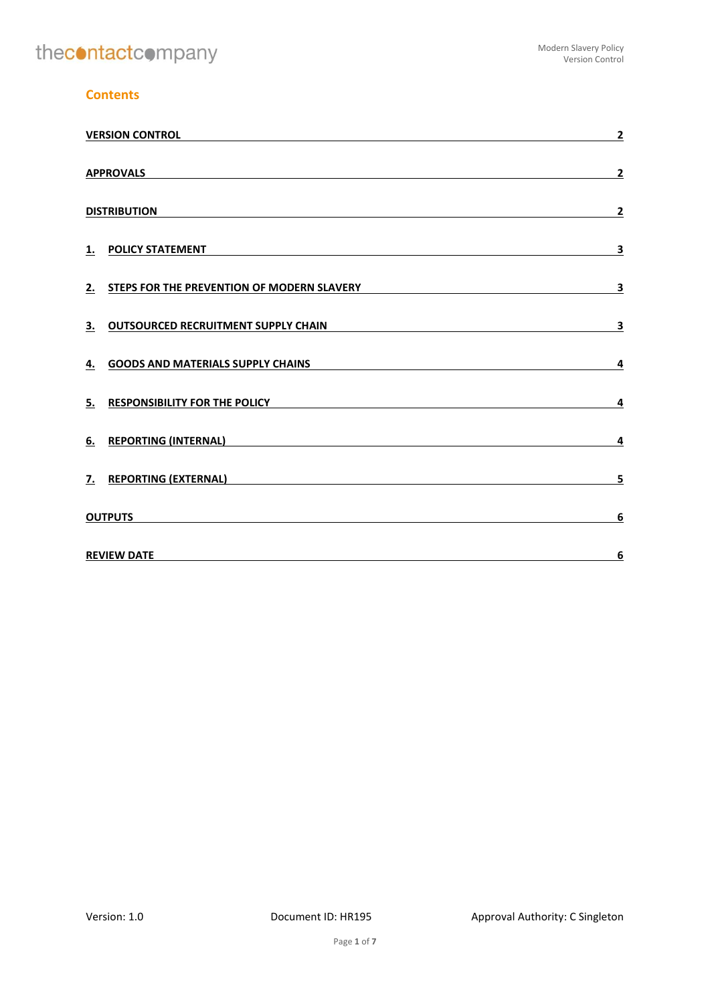## **Contents**

|    | <b>VERSION CONTROL</b>                                                                                                                      |                         |
|----|---------------------------------------------------------------------------------------------------------------------------------------------|-------------------------|
|    | <b>APPROVALS</b>                                                                                                                            | $\overline{2}$          |
|    | <b>DISTRIBUTION</b>                                                                                                                         | $\overline{\mathbf{2}}$ |
| 1. | <b>POLICY STATEMENT</b>                                                                                                                     | 3                       |
| 2. | STEPS FOR THE PREVENTION OF MODERN SLAVERY                                                                                                  | 3                       |
| 3. | <b>OUTSOURCED RECRUITMENT SUPPLY CHAIN</b>                                                                                                  | 3                       |
| 4. | <b>GOODS AND MATERIALS SUPPLY CHAINS</b>                                                                                                    | 4                       |
| 5. | <b>RESPONSIBILITY FOR THE POLICY</b>                                                                                                        | 4                       |
| 6. | <b>REPORTING (INTERNAL)</b>                                                                                                                 | 4                       |
| 7. | <b>REPORTING (EXTERNAL)</b>                                                                                                                 | 5                       |
|    | <b>OUTPUTS</b>                                                                                                                              | 6                       |
|    | <b>REVIEW DATE</b><br><u> 1989 - Johann Barn, amerikan besteman besteman besteman besteman besteman besteman besteman besteman besteman</u> | 6                       |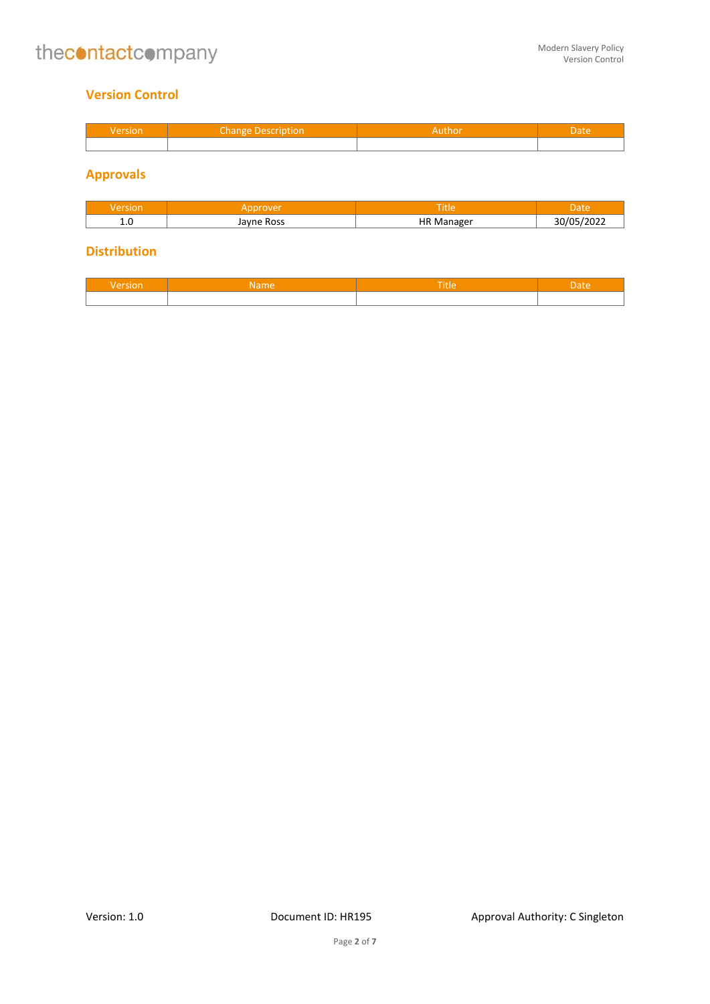## <span id="page-2-0"></span>**Version Control**

| Version | Change Description | Author | Date |
|---------|--------------------|--------|------|
|         |                    |        |      |

## <span id="page-2-1"></span>**Approvals**

| SIUH       |             | itle                      |  |
|------------|-------------|---------------------------|--|
| <b>1.L</b> | <b>Ross</b> | НF<br>maxar<br>- IVA<br>. |  |

## <span id="page-2-2"></span>**Distribution**

| sion | Tille |  |
|------|-------|--|
|      |       |  |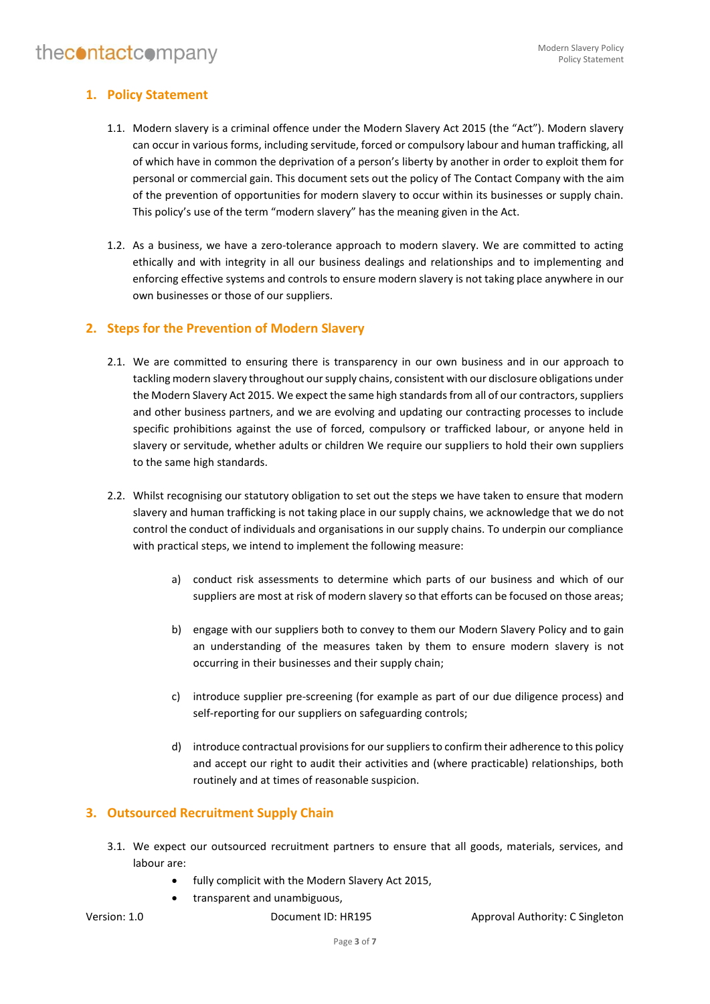## <span id="page-3-0"></span>**1. Policy Statement**

- 1.1. Modern slavery is a criminal offence under the Modern Slavery Act 2015 (the "Act"). Modern slavery can occur in various forms, including servitude, forced or compulsory labour and human trafficking, all of which have in common the deprivation of a person's liberty by another in order to exploit them for personal or commercial gain. This document sets out the policy of The Contact Company with the aim of the prevention of opportunities for modern slavery to occur within its businesses or supply chain. This policy's use of the term "modern slavery" has the meaning given in the Act.
- 1.2. As a business, we have a zero-tolerance approach to modern slavery. We are committed to acting ethically and with integrity in all our business dealings and relationships and to implementing and enforcing effective systems and controls to ensure modern slavery is not taking place anywhere in our own businesses or those of our suppliers.

## <span id="page-3-1"></span>**2. Steps for the Prevention of Modern Slavery**

- 2.1. We are committed to ensuring there is transparency in our own business and in our approach to tackling modern slavery throughout our supply chains, consistent with our disclosure obligations under the Modern Slavery Act 2015. We expect the same high standards from all of our contractors, suppliers and other business partners, and we are evolving and updating our contracting processes to include specific prohibitions against the use of forced, compulsory or trafficked labour, or anyone held in slavery or servitude, whether adults or children We require our suppliers to hold their own suppliers to the same high standards.
- 2.2. Whilst recognising our statutory obligation to set out the steps we have taken to ensure that modern slavery and human trafficking is not taking place in our supply chains, we acknowledge that we do not control the conduct of individuals and organisations in our supply chains. To underpin our compliance with practical steps, we intend to implement the following measure:
	- a) conduct risk assessments to determine which parts of our business and which of our suppliers are most at risk of modern slavery so that efforts can be focused on those areas;
	- b) engage with our suppliers both to convey to them our Modern Slavery Policy and to gain an understanding of the measures taken by them to ensure modern slavery is not occurring in their businesses and their supply chain;
	- c) introduce supplier pre-screening (for example as part of our due diligence process) and self-reporting for our suppliers on safeguarding controls;
	- d) introduce contractual provisions for our suppliers to confirm their adherence to this policy and accept our right to audit their activities and (where practicable) relationships, both routinely and at times of reasonable suspicion.

## <span id="page-3-2"></span>**3. Outsourced Recruitment Supply Chain**

- 3.1. We expect our outsourced recruitment partners to ensure that all goods, materials, services, and labour are:
	- fully complicit with the Modern Slavery Act 2015,
	- transparent and unambiguous,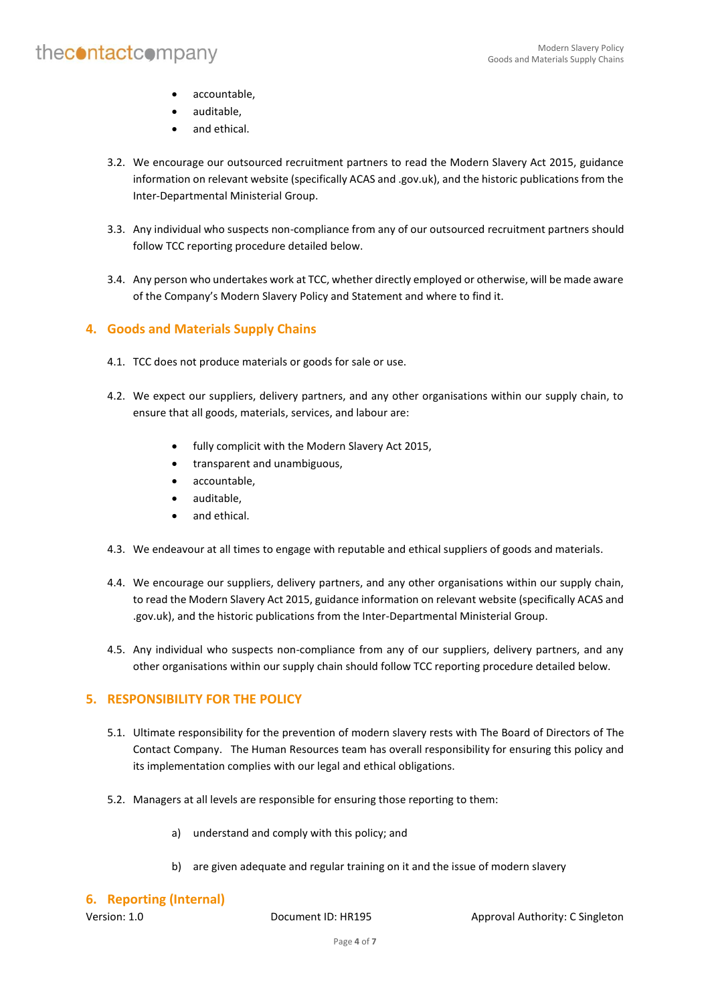- accountable,
- auditable,
- and ethical.
- 3.2. We encourage our outsourced recruitment partners to read the Modern Slavery Act 2015, guidance information on relevant website (specifically ACAS and .gov.uk), and the historic publications from the Inter-Departmental Ministerial Group.
- 3.3. Any individual who suspects non-compliance from any of our outsourced recruitment partners should follow TCC reporting procedure detailed below.
- 3.4. Any person who undertakes work at TCC, whether directly employed or otherwise, will be made aware of the Company's Modern Slavery Policy and Statement and where to find it.

## <span id="page-4-0"></span>**4. Goods and Materials Supply Chains**

- 4.1. TCC does not produce materials or goods for sale or use.
- 4.2. We expect our suppliers, delivery partners, and any other organisations within our supply chain, to ensure that all goods, materials, services, and labour are:
	- fully complicit with the Modern Slavery Act 2015,
	- transparent and unambiguous,
	- accountable,
	- auditable,
	- and ethical.
- 4.3. We endeavour at all times to engage with reputable and ethical suppliers of goods and materials.
- 4.4. We encourage our suppliers, delivery partners, and any other organisations within our supply chain, to read the Modern Slavery Act 2015, guidance information on relevant website (specifically ACAS and .gov.uk), and the historic publications from the Inter-Departmental Ministerial Group.
- 4.5. Any individual who suspects non-compliance from any of our suppliers, delivery partners, and any other organisations within our supply chain should follow TCC reporting procedure detailed below.

## <span id="page-4-1"></span>**5. RESPONSIBILITY FOR THE POLICY**

- 5.1. Ultimate responsibility for the prevention of modern slavery rests with The Board of Directors of The Contact Company. The Human Resources team has overall responsibility for ensuring this policy and its implementation complies with our legal and ethical obligations.
- 5.2. Managers at all levels are responsible for ensuring those reporting to them:
	- a) understand and comply with this policy; and
	- b) are given adequate and regular training on it and the issue of modern slavery

#### <span id="page-4-2"></span>**6. Reporting (Internal)**

Version: 1.0 **Document ID: HR195** Approval Authority: C Singleton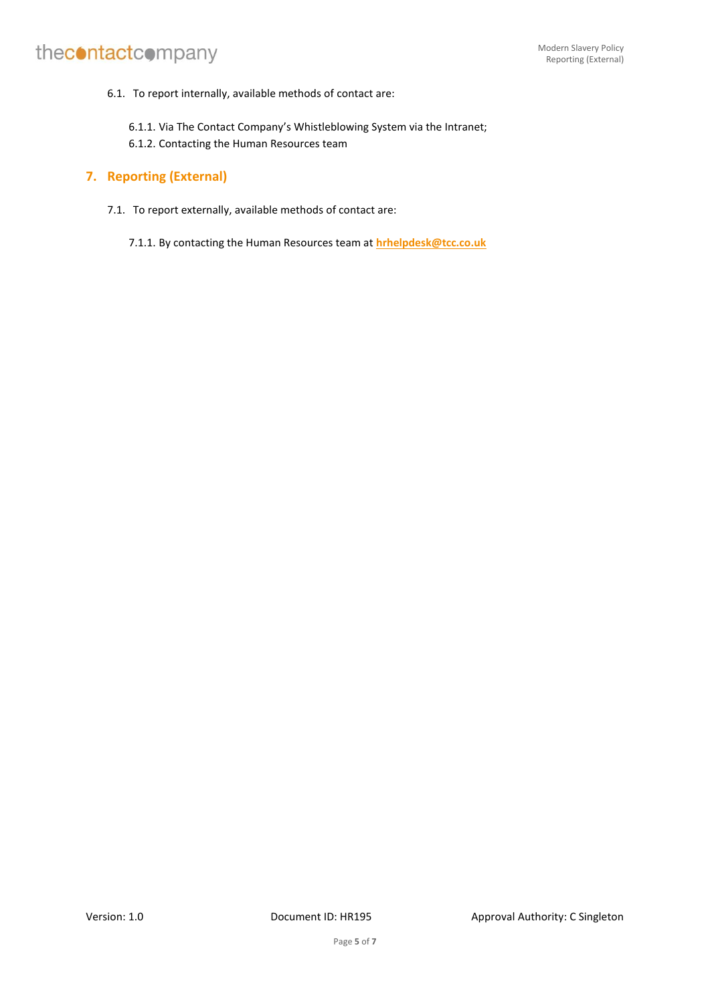6.1. To report internally, available methods of contact are:

6.1.1. Via The Contact Company's Whistleblowing System via the Intranet;

6.1.2. Contacting the Human Resources team

## <span id="page-5-0"></span>**7. Reporting (External)**

7.1. To report externally, available methods of contact are:

7.1.1. By contacting the Human Resources team at **[hrhelpdesk@tcc.co.uk](mailto:hrhelpdesk@tcc.co.uk)**